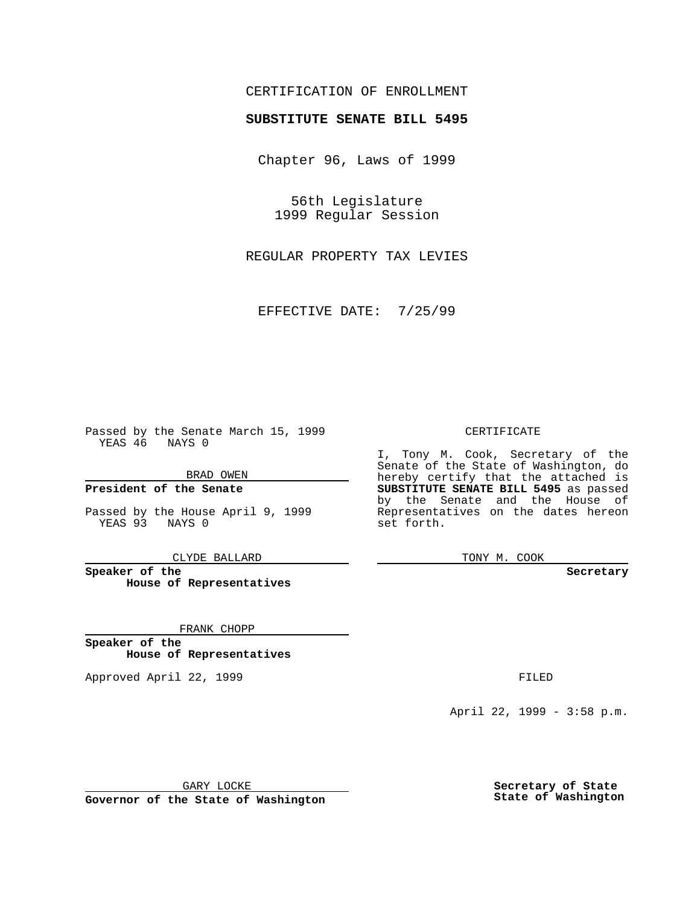## CERTIFICATION OF ENROLLMENT

# **SUBSTITUTE SENATE BILL 5495**

Chapter 96, Laws of 1999

56th Legislature 1999 Regular Session

REGULAR PROPERTY TAX LEVIES

EFFECTIVE DATE: 7/25/99

Passed by the Senate March 15, 1999 YEAS 46 NAYS 0

BRAD OWEN

**President of the Senate**

Passed by the House April 9, 1999 YEAS 93 NAYS 0

CLYDE BALLARD

**Speaker of the House of Representatives**

FRANK CHOPP

**Speaker of the House of Representatives**

Approved April 22, 1999 **FILED** 

### CERTIFICATE

I, Tony M. Cook, Secretary of the Senate of the State of Washington, do hereby certify that the attached is **SUBSTITUTE SENATE BILL 5495** as passed by the Senate and the House of Representatives on the dates hereon set forth.

TONY M. COOK

#### **Secretary**

April 22, 1999 - 3:58 p.m.

GARY LOCKE

**Governor of the State of Washington**

**Secretary of State State of Washington**